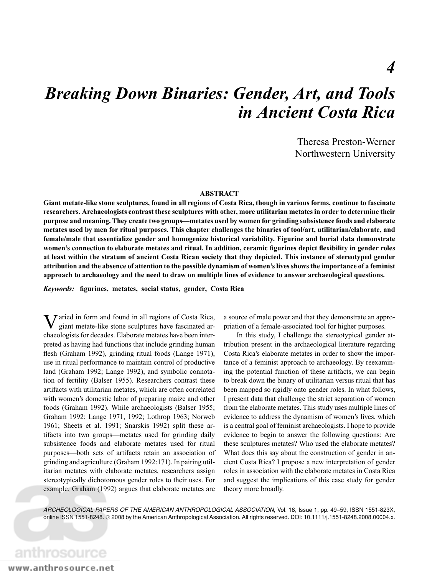# *Breaking Down Binaries: Gender, Art, and Tools in Ancient Costa Rica*

Theresa Preston-Werner Northwestern University

#### **ABSTRACT**

**Giant metate-like stone sculptures, found in all regions of Costa Rica, though in various forms, continue to fascinate researchers. Archaeologists contrast these sculptures with other, more utilitarian metates in order to determine their purpose and meaning. They create two groups—metates used by women for grinding subsistence foods and elaborate metates used by men for ritual purposes. This chapter challenges the binaries of tool/art, utilitarian/elaborate, and female/male that essentialize gender and homogenize historical variability. Figurine and burial data demonstrate women's connection to elaborate metates and ritual. In addition, ceramic figurines depict flexibility in gender roles at least within the stratum of ancient Costa Rican society that they depicted. This instance of stereotyped gender attribution and the absence of attention to the possible dynamism of women's lives shows the importance of a feminist approach to archaeology and the need to draw on multiple lines of evidence to answer archaeological questions.**

*Keywords:* **figurines, metates, social status, gender, Costa Rica**

Varied in form and found in all regions of Costa Rica, giant metate-like stone sculptures have fascinated archaeologists for decades. Elaborate metates have been interpreted as having had functions that include grinding human flesh (Graham 1992), grinding ritual foods (Lange 1971), use in ritual performance to maintain control of productive land (Graham 1992; Lange 1992), and symbolic connotation of fertility (Balser 1955). Researchers contrast these artifacts with utilitarian metates, which are often correlated with women's domestic labor of preparing maize and other foods (Graham 1992). While archaeologists (Balser 1955; Graham 1992; Lange 1971, 1992; Lothrop 1963; Norweb 1961; Sheets et al. 1991; Snarskis 1992) split these artifacts into two groups—metates used for grinding daily subsistence foods and elaborate metates used for ritual purposes—both sets of artifacts retain an association of grinding and agriculture (Graham 1992:171). In pairing utilitarian metates with elaborate metates, researchers assign stereotypically dichotomous gender roles to their uses. For example, Graham (1992) argues that elaborate metates are

a source of male power and that they demonstrate an appropriation of a female-associated tool for higher purposes.

In this study, I challenge the stereotypical gender attribution present in the archaeological literature regarding Costa Rica's elaborate metates in order to show the importance of a feminist approach to archaeology. By reexamining the potential function of these artifacts, we can begin to break down the binary of utilitarian versus ritual that has been mapped so rigidly onto gender roles. In what follows, I present data that challenge the strict separation of women from the elaborate metates. This study uses multiple lines of evidence to address the dynamism of women's lives, which is a central goal of feminist archaeologists. I hope to provide evidence to begin to answer the following questions: Are these sculptures metates? Who used the elaborate metates? What does this say about the construction of gender in ancient Costa Rica? I propose a new interpretation of gender roles in association with the elaborate metates in Costa Rica and suggest the implications of this case study for gender theory more broadly.

*ARCHEOLOGICAL PAPERS OF THE AMERICAN ANTHROPOLOGICAL ASSOCIATION*, Vol. 18, Issue 1, pp. 49–59, ISSN 1551-823X, online ISSN 1551-8248. © 2008 by the American Anthropological Association. All rights reserved. DOI: 10.1111/j.1551-8248.2008.00004.x.

# anthrosource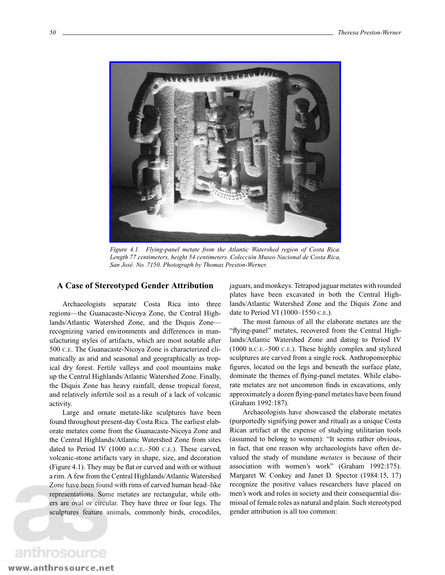

*Figure 4.1. Flying-panel metate from the Atlantic Watershed region of Costa Rica. Length 77 centimeters, height 54 centimeters. Coleccion Museo Nacional de Costa Rica, ´ San Jose. No. 7150. Photograph by Thomas Preston-Werner. ´*

### **A Case of Stereotyped Gender Attribution**

Archaeologists separate Costa Rica into three regions—the Guanacaste-Nicoya Zone, the Central Highlands/Atlantic Watershed Zone, and the Diquis Zone recognizing varied environments and differences in manufacturing styles of artifacts, which are most notable after 500 C.E. The Guanacaste-Nicoya Zone is characterized climatically as arid and seasonal and geographically as tropical dry forest. Fertile valleys and cool mountains make up the Central Highlands/Atlantic Watershed Zone. Finally, the Diquis Zone has heavy rainfall, dense tropical forest, and relatively infertile soil as a result of a lack of volcanic activity.

Large and ornate metate-like sculptures have been found throughout present-day Costa Rica. The earliest elaborate metates come from the Guanacaste-Nicoya Zone and the Central Highlands/Atlantic Watershed Zone from sites dated to Period IV (1000 B.C.E.–500 C.E.). These carved, volcanic-stone artifacts vary in shape, size, and decoration (Figure 4.1). They may be flat or curved and with or without a rim. A few from the Central Highlands/Atlantic Watershed Zone have been found with rims of carved human head–like representations. Some metates are rectangular, while others are oval or circular. They have three or four legs. The sculptures feature animals, commonly birds, crocodiles,

jaguars, and monkeys. Tetrapod jaguar metates with rounded plates have been excavated in both the Central Highlands/Atlantic Watershed Zone and the Diquis Zone and date to Period VI (1000–1550 C.E.).

The most famous of all the elaborate metates are the "flying-panel" metates, recovered from the Central Highlands/Atlantic Watershed Zone and dating to Period IV (1000 B.C.E.–500 C.E.). These highly complex and stylized sculptures are carved from a single rock. Anthropomorphic figures, located on the legs and beneath the surface plate, dominate the themes of flying-panel metates. While elaborate metates are not uncommon finds in excavations, only approximately a dozen flying-panel metates have been found (Graham 1992:187).

Archaeologists have showcased the elaborate metates (purportedly signifying power and ritual) as a unique Costa Rican artifact at the expense of studying utilitarian tools (assumed to belong to women): "It seems rather obvious, in fact, that one reason why archaeologists have often devalued the study of mundane *metates* is because of their association with women's work" (Graham 1992:175). Margaret W. Conkey and Janet D. Spector (1984:15, 17) recognize the positive values researchers have placed on men's work and roles in society and their consequential dismissal of female roles as natural and plain. Such stereotyped gender attribution is all too common:

ww.anthrosource.net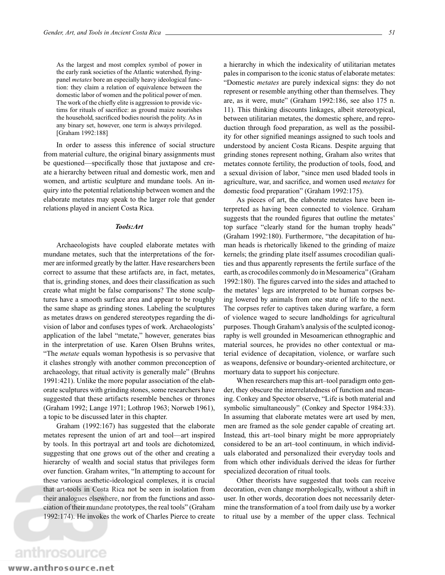As the largest and most complex symbol of power in the early rank societies of the Atlantic watershed, flyingpanel *metates* bore an especially heavy ideological function: they claim a relation of equivalence between the domestic labor of women and the political power of men. The work of the chiefly elite is aggression to provide victims for rituals of sacrifice: as ground maize nourishes the household, sacrificed bodies nourish the polity. As in any binary set, however, one term is always privileged. [Graham 1992:188]

In order to assess this inference of social structure from material culture, the original binary assignments must be questioned—specifically those that juxtapose and create a hierarchy between ritual and domestic work, men and women, and artistic sculpture and mundane tools. An inquiry into the potential relationship between women and the elaborate metates may speak to the larger role that gender relations played in ancient Costa Rica.

#### *Tools:Art*

Archaeologists have coupled elaborate metates with mundane metates, such that the interpretations of the former are informed greatly by the latter. Have researchers been correct to assume that these artifacts are, in fact, metates, that is, grinding stones, and does their classification as such create what might be false comparisons? The stone sculptures have a smooth surface area and appear to be roughly the same shape as grinding stones. Labeling the sculptures as metates draws on gendered stereotypes regarding the division of labor and confuses types of work. Archaeologists' application of the label "metate," however, generates bias in the interpretation of use. Karen Olsen Bruhns writes, "The *metate* equals woman hypothesis is so pervasive that it clashes strongly with another common preconception of archaeology, that ritual activity is generally male" (Bruhns 1991:421). Unlike the more popular association of the elaborate sculptures with grinding stones, some researchers have suggested that these artifacts resemble benches or thrones (Graham 1992; Lange 1971; Lothrop 1963; Norweb 1961), a topic to be discussed later in this chapter.

Graham (1992:167) has suggested that the elaborate metates represent the union of art and tool—art inspired by tools. In this portrayal art and tools are dichotomized, suggesting that one grows out of the other and creating a hierarchy of wealth and social status that privileges form over function. Graham writes, "In attempting to account for these various aesthetic-ideological complexes, it is crucial that art-tools in Costa Rica not be seen in isolation from their analogues elsewhere, nor from the functions and association of their mundane prototypes, the real tools" (Graham 1992:174). He invokes the work of Charles Pierce to create

a hierarchy in which the indexicality of utilitarian metates

pales in comparison to the iconic status of elaborate metates: "Domestic *metates* are purely indexical signs: they do not represent or resemble anything other than themselves. They are, as it were, mute" (Graham 1992:186, see also 175 n. 11). This thinking discounts linkages, albeit stereotypical, between utilitarian metates, the domestic sphere, and reproduction through food preparation, as well as the possibility for other signified meanings assigned to such tools and understood by ancient Costa Ricans. Despite arguing that grinding stones represent nothing, Graham also writes that metates connote fertility, the production of tools, food, and a sexual division of labor, "since men used bladed tools in agriculture, war, and sacrifice, and women used *metates* for domestic food preparation" (Graham 1992:175).

As pieces of art, the elaborate metates have been interpreted as having been connected to violence. Graham suggests that the rounded figures that outline the metates' top surface "clearly stand for the human trophy heads" (Graham 1992:180). Furthermore, "the decapitation of human heads is rhetorically likened to the grinding of maize kernels; the grinding plate itself assumes crocodilian qualities and thus apparently represents the fertile surface of the earth, as crocodiles commonly do in Mesoamerica" (Graham 1992:180). The figures carved into the sides and attached to the metates' legs are interpreted to be human corpses being lowered by animals from one state of life to the next. The corpses refer to captives taken during warfare, a form of violence waged to secure landholdings for agricultural purposes. Though Graham's analysis of the sculpted iconography is well grounded in Mesoamerican ethnographic and material sources, he provides no other contextual or material evidence of decapitation, violence, or warfare such as weapons, defensive or boundary-oriented architecture, or mortuary data to support his conjecture.

When researchers map this art–tool paradigm onto gender, they obscure the interrelatedness of function and meaning. Conkey and Spector observe, "Life is both material and symbolic simultaneously" (Conkey and Spector 1984:33). In assuming that elaborate metates were art used by men, men are framed as the sole gender capable of creating art. Instead, this art–tool binary might be more appropriately considered to be an art–tool continuum, in which individuals elaborated and personalized their everyday tools and from which other individuals derived the ideas for further specialized decoration of ritual tools.

Other theorists have suggested that tools can receive decoration, even change morphologically, without a shift in user. In other words, decoration does not necessarily determine the transformation of a tool from daily use by a worker to ritual use by a member of the upper class. Technical

anthrosource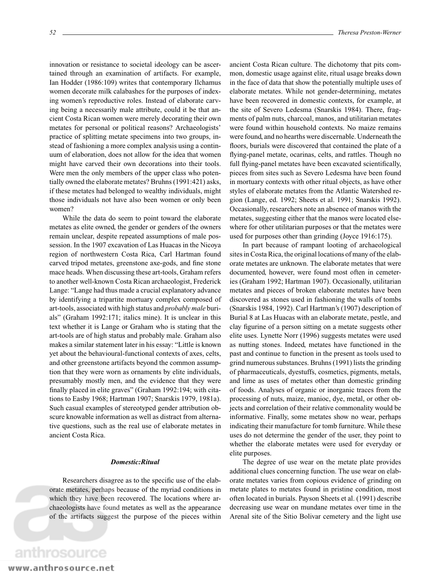innovation or resistance to societal ideology can be ascertained through an examination of artifacts. For example, Ian Hodder (1986:109) writes that contemporary Ilchamus women decorate milk calabashes for the purposes of indexing women's reproductive roles. Instead of elaborate carving being a necessarily male attribute, could it be that ancient Costa Rican women were merely decorating their own metates for personal or political reasons? Archaeologists' practice of splitting metate specimens into two groups, instead of fashioning a more complex analysis using a continuum of elaboration, does not allow for the idea that women might have carved their own decorations into their tools. Were men the only members of the upper class who potentially owned the elaborate metates? Bruhns (1991:421) asks, if these metates had belonged to wealthy individuals, might those individuals not have also been women or only been women?

While the data do seem to point toward the elaborate metates as elite owned, the gender or genders of the owners remain unclear, despite repeated assumptions of male possession. In the 1907 excavation of Las Huacas in the Nicoya region of northwestern Costa Rica, Carl Hartman found carved tripod metates, greenstone axe-gods, and fine stone mace heads. When discussing these art-tools, Graham refers to another well-known Costa Rican archaeologist, Frederick Lange: "Lange had thus made a crucial explanatory advance by identifying a tripartite mortuary complex composed of art-tools, associated with high status and *probably male* burials" (Graham 1992:171; italics mine). It is unclear in this text whether it is Lange or Graham who is stating that the art-tools are of high status and probably male. Graham also makes a similar statement later in his essay: "Little is known yet about the behavioural-functional contexts of axes, celts, and other greenstone artifacts beyond the common assumption that they were worn as ornaments by elite individuals, presumably mostly men, and the evidence that they were finally placed in elite graves" (Graham 1992:194; with citations to Easby 1968; Hartman 1907; Snarskis 1979, 1981a). Such casual examples of stereotyped gender attribution obscure knowable information as well as distract from alternative questions, such as the real use of elaborate metates in ancient Costa Rica.

## *Domestic:Ritual*

Researchers disagree as to the specific use of the elaborate metates, perhaps because of the myriad conditions in which they have been recovered. The locations where archaeologists have found metates as well as the appearance of the artifacts suggest the purpose of the pieces within

ancient Costa Rican culture. The dichotomy that pits common, domestic usage against elite, ritual usage breaks down in the face of data that show the potentially multiple uses of elaborate metates. While not gender-determining, metates have been recovered in domestic contexts, for example, at the site of Severo Ledesma (Snarskis 1984). There, fragments of palm nuts, charcoal, manos, and utilitarian metates were found within household contexts. No maize remains were found, and no hearths were discernable. Underneath the floors, burials were discovered that contained the plate of a flying-panel metate, ocarinas, celts, and rattles. Though no full flying-panel metates have been excavated scientifically, pieces from sites such as Severo Ledesma have been found in mortuary contexts with other ritual objects, as have other styles of elaborate metates from the Atlantic Watershed region (Lange, ed. 1992; Sheets et al. 1991; Snarskis 1992). Occasionally, researchers note an absence of manos with the metates, suggesting either that the manos were located elsewhere for other utilitarian purposes or that the metates were used for purposes other than grinding (Joyce 1916:175).

In part because of rampant looting of archaeological sites in Costa Rica, the original locations of many of the elaborate metates are unknown. The elaborate metates that were documented, however, were found most often in cemeteries (Graham 1992; Hartman 1907). Occasionally, utilitarian metates and pieces of broken elaborate metates have been discovered as stones used in fashioning the walls of tombs (Snarskis 1984, 1992). Carl Hartman's (1907) description of Burial 8 at Las Huacas with an elaborate metate, pestle, and clay figurine of a person sitting on a metate suggests other elite uses. Lynette Norr (1996) suggests metates were used as nutting stones. Indeed, metates have functioned in the past and continue to function in the present as tools used to grind numerous substances. Bruhns (1991) lists the grinding of pharmaceuticals, dyestuffs, cosmetics, pigments, metals, and lime as uses of metates other than domestic grinding of foods. Analyses of organic or inorganic traces from the processing of nuts, maize, manioc, dye, metal, or other objects and correlation of their relative commonality would be informative. Finally, some metates show no wear, perhaps indicating their manufacture for tomb furniture. While these uses do not determine the gender of the user, they point to whether the elaborate metates were used for everyday or elite purposes.

The degree of use wear on the metate plate provides additional clues concerning function. The use wear on elaborate metates varies from copious evidence of grinding on metate plates to metates found in pristine condition, most often located in burials. Payson Sheets et al. (1991) describe decreasing use wear on mundane metates over time in the Arenal site of the Sitio Bolivar cemetery and the light use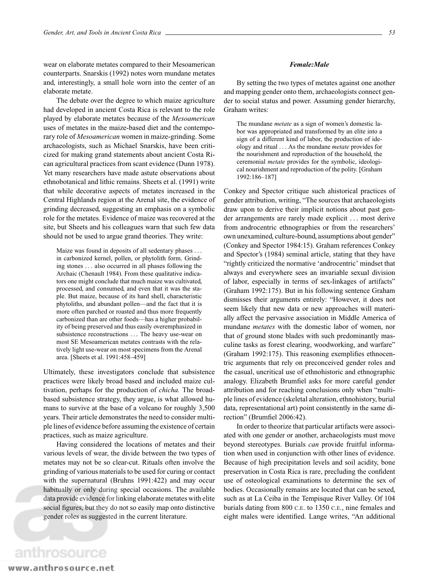wear on elaborate metates compared to their Mesoamerican counterparts. Snarskis (1992) notes worn mundane metates and, interestingly, a small hole worn into the center of an elaborate metate.

The debate over the degree to which maize agriculture had developed in ancient Costa Rica is relevant to the role played by elaborate metates because of the *Mesoamerican* uses of metates in the maize-based diet and the contemporary role of *Mesoamerican* women in maize-grinding. Some archaeologists, such as Michael Snarskis, have been criticized for making grand statements about ancient Costa Rican agricultural practices from scant evidence (Dunn 1978). Yet many researchers have made astute observations about ethnobotanical and lithic remains. Sheets et al. (1991) write that while decorative aspects of metates increased in the Central Highlands region at the Arenal site, the evidence of grinding decreased, suggesting an emphasis on a symbolic role for the metates. Evidence of maize was recovered at the site, but Sheets and his colleagues warn that such few data should not be used to argue grand theories. They write:

Maize was found in deposits of all sedentary phases ... in carbonized kernel, pollen, or phytolith form. Grinding stones ... also occurred in all phases following the Archaic (Chenault 1984). From these qualitative indicators one might conclude that much maize was cultivated, processed, and consumed, and even that it was the staple. But maize, because of its hard shell, characteristic phytoliths, and abundant pollen—and the fact that it is more often parched or roasted and thus more frequently carbonized than are other foods—has a higher probability of being preserved and thus easily overemphasized in subsistence reconstructions ... The heavy use-wear on most SE Mesoamerican metates contrasts with the relatively light use-wear on most specimens from the Arenal area. [Sheets et al. 1991:458–459]

Ultimately, these investigators conclude that subsistence practices were likely broad based and included maize cultivation, perhaps for the production of *chicha.* The broadbased subsistence strategy, they argue, is what allowed humans to survive at the base of a volcano for roughly 3,500 years. Their article demonstrates the need to consider multiple lines of evidence before assuming the existence of certain practices, such as maize agriculture.

Having considered the locations of metates and their various levels of wear, the divide between the two types of metates may not be so clear-cut. Rituals often involve the grinding of various materials to be used for curing or contact with the supernatural (Bruhns 1991:422) and may occur habitually or only during special occasions. The available data provide evidence for linking elaborate metates with elite social figures, but they do not so easily map onto distinctive gender roles as suggested in the current literature.

#### *Female:Male*

By setting the two types of metates against one another and mapping gender onto them, archaeologists connect gender to social status and power. Assuming gender hierarchy, Graham writes:

The mundane *metate* as a sign of women's domestic labor was appropriated and transformed by an elite into a sign of a different kind of labor, the production of ideology and ritual ... As the mundane *metate* provides for the nourishment and reproduction of the household, the ceremonial *metate* provides for the symbolic, ideological nourishment and reproduction of the polity. [Graham 1992:186–187]

Conkey and Spector critique such ahistorical practices of gender attribution, writing, "The sources that archaeologists draw upon to derive their implicit notions about past gender arrangements are rarely made explicit ... most derive from androcentric ethnographies or from the researchers' own unexamined, culture-bound, assumptions about gender" (Conkey and Spector 1984:15). Graham references Conkey and Spector's (1984) seminal article, stating that they have "rightly criticized the normative 'androcentric' mindset that always and everywhere sees an invariable sexual division of labor, especially in terms of sex-linkages of artifacts" (Graham 1992:175). But in his following sentence Graham dismisses their arguments entirely: "However, it does not seem likely that new data or new approaches will materially affect the pervasive association in Middle America of mundane *metates* with the domestic labor of women, nor that of ground stone blades with such predominantly masculine tasks as forest clearing, woodworking, and warfare" (Graham 1992:175). This reasoning exemplifies ethnocentric arguments that rely on preconceived gender roles and the casual, uncritical use of ethnohistoric and ethnographic analogy. Elizabeth Brumfiel asks for more careful gender attribution and for reaching conclusions only when "multiple lines of evidence (skeletal alteration, ethnohistory, burial data, representational art) point consistently in the same direction" (Brumfiel 2006:42).

In order to theorize that particular artifacts were associated with one gender or another, archaeologists must move beyond stereotypes. Burials *can* provide fruitful information when used in conjunction with other lines of evidence. Because of high precipitation levels and soil acidity, bone preservation in Costa Rica is rare, precluding the confident use of osteological examinations to determine the sex of bodies. Occasionally remains are located that can be sexed, such as at La Ceiba in the Tempisque River Valley. Of 104 burials dating from 800 C.E. to 1350 C.E., nine females and eight males were identified. Lange writes, "An additional

www.anthrosource.net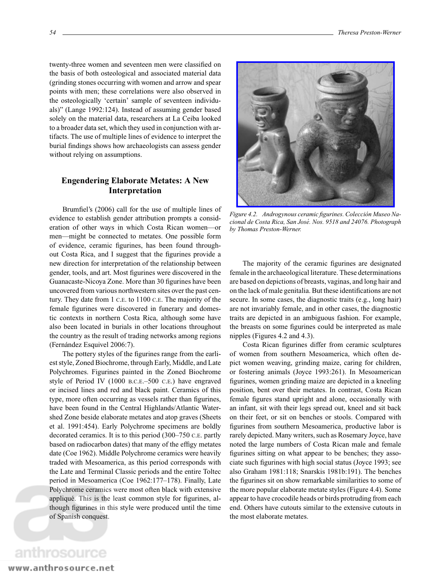twenty-three women and seventeen men were classified on the basis of both osteological and associated material data (grinding stones occurring with women and arrow and spear points with men; these correlations were also observed in the osteologically 'certain' sample of seventeen individuals)" (Lange 1992:124). Instead of assuming gender based solely on the material data, researchers at La Ceiba looked to a broader data set, which they used in conjunction with artifacts. The use of multiple lines of evidence to interpret the burial findings shows how archaeologists can assess gender without relying on assumptions.

# **Engendering Elaborate Metates: A New Interpretation**

Brumfiel's (2006) call for the use of multiple lines of evidence to establish gender attribution prompts a consideration of other ways in which Costa Rican women—or men—might be connected to metates. One possible form of evidence, ceramic figurines, has been found throughout Costa Rica, and I suggest that the figurines provide a new direction for interpretation of the relationship between gender, tools, and art. Most figurines were discovered in the Guanacaste-Nicoya Zone. More than 30 figurines have been uncovered from various northwestern sites over the past century. They date from 1 C.E. to 1100 C.E. The majority of the female figurines were discovered in funerary and domestic contexts in northern Costa Rica, although some have also been located in burials in other locations throughout the country as the result of trading networks among regions (Fernández Esquivel 2006:7).

The pottery styles of the figurines range from the earliest style, Zoned Biochrome, through Early, Middle, and Late Polychromes. Figurines painted in the Zoned Biochrome style of Period IV (1000 B.C.E.–500 C.E.) have engraved or incised lines and red and black paint. Ceramics of this type, more often occurring as vessels rather than figurines, have been found in the Central Highlands/Atlantic Watershed Zone beside elaborate metates and atop graves (Sheets et al. 1991:454). Early Polychrome specimens are boldly decorated ceramics. It is to this period (300–750 C.E. partly based on radiocarbon dates) that many of the effigy metates date (Coe 1962). Middle Polychrome ceramics were heavily traded with Mesoamerica, as this period corresponds with the Late and Terminal Classic periods and the entire Toltec period in Mesoamerica (Coe 1962:177–178). Finally, Late Polychrome ceramics were most often black with extensive appliqué. This is the least common style for figurines, although figurines in this style were produced until the time of Spanish conquest.



*Figure 4.2. Androgynous ceramic figurines. Coleccion Museo Na- ´ cional de Costa Rica, San Jose. Nos. 9518 and 24076. Photograph ´ by Thomas Preston-Werner.*

The majority of the ceramic figurines are designated female in the archaeological literature. These determinations are based on depictions of breasts, vaginas, and long hair and on the lack of male genitalia. But these identifications are not secure. In some cases, the diagnostic traits (e.g., long hair) are not invariably female, and in other cases, the diagnostic traits are depicted in an ambiguous fashion. For example, the breasts on some figurines could be interpreted as male nipples (Figures 4.2 and 4.3).

Costa Rican figurines differ from ceramic sculptures of women from southern Mesoamerica, which often depict women weaving, grinding maize, caring for children, or fostering animals (Joyce 1993:261). In Mesoamerican figurines, women grinding maize are depicted in a kneeling position, bent over their metates. In contrast, Costa Rican female figures stand upright and alone, occasionally with an infant, sit with their legs spread out, kneel and sit back on their feet, or sit on benches or stools. Compared with figurines from southern Mesoamerica, productive labor is rarely depicted. Many writers, such as Rosemary Joyce, have noted the large numbers of Costa Rican male and female figurines sitting on what appear to be benches; they associate such figurines with high social status (Joyce 1993; see also Graham 1981:118; Snarskis 1981b:191). The benches the figurines sit on show remarkable similarities to some of the more popular elaborate metate styles (Figure 4.4). Some appear to have crocodile heads or birds protruding from each end. Others have cutouts similar to the extensive cutouts in the most elaborate metates.

anthrosource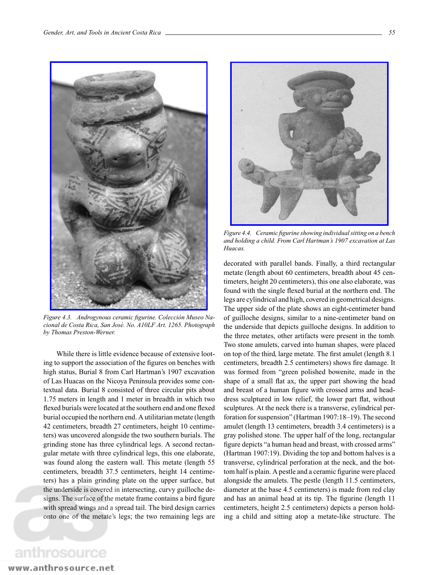

*Figure 4.3. Androgynous ceramic figurine. Coleccion Museo Na- ´ cional de Costa Rica, San Jose. No. A10LF Art. 1265. Photograph ´ by Thomas Preston-Werner.*

While there is little evidence because of extensive looting to support the association of the figures on benches with high status, Burial 8 from Carl Hartman's 1907 excavation of Las Huacas on the Nicoya Peninsula provides some contextual data. Burial 8 consisted of three circular pits about 1.75 meters in length and 1 meter in breadth in which two flexed burials were located at the southern end and one flexed burial occupied the northern end. A utilitarian metate (length 42 centimeters, breadth 27 centimeters, height 10 centimeters) was uncovered alongside the two southern burials. The grinding stone has three cylindrical legs. A second rectangular metate with three cylindrical legs, this one elaborate, was found along the eastern wall. This metate (length 55 centimeters, breadth 37.5 centimeters, height 14 centimeters) has a plain grinding plate on the upper surface, but the underside is covered in intersecting, curvy guilloche designs. The surface of the metate frame contains a bird figure with spread wings and a spread tail. The bird design carries onto one of the metate's legs; the two remaining legs are



*Figure 4.4. Ceramic figurine showing individual sitting on a bench and holding a child. From Carl Hartman's 1907 excavation at Las Huacas.*

decorated with parallel bands. Finally, a third rectangular metate (length about 60 centimeters, breadth about 45 centimeters, height 20 centimeters), this one also elaborate, was found with the single flexed burial at the northern end. The legs are cylindrical and high, covered in geometrical designs. The upper side of the plate shows an eight-centimeter band of guilloche designs, similar to a nine-centimeter band on the underside that depicts guilloche designs. In addition to the three metates, other artifacts were present in the tomb. Two stone amulets, carved into human shapes, were placed on top of the third, large metate. The first amulet (length 8.1 centimeters, breadth 2.5 centimeters) shows fire damage. It was formed from "green polished bowenite, made in the shape of a small flat ax, the upper part showing the head and breast of a human figure with crossed arms and headdress sculptured in low relief, the lower part flat, without sculptures. At the neck there is a transverse, cylindrical perforation for suspension" (Hartman 1907:18–19). The second amulet (length 13 centimeters, breadth 3.4 centimeters) is a gray polished stone. The upper half of the long, rectangular figure depicts "a human head and breast, with crossed arms" (Hartman 1907:19). Dividing the top and bottom halves is a transverse, cylindrical perforation at the neck, and the bottom half is plain. A pestle and a ceramic figurine were placed alongside the amulets. The pestle (length 11.5 centimeters, diameter at the base 4.5 centimeters) is made from red clay and has an animal head at its tip. The figurine (length 11 centimeters, height 2.5 centimeters) depicts a person holding a child and sitting atop a metate-like structure. The

anthrosource www.anthrosource.net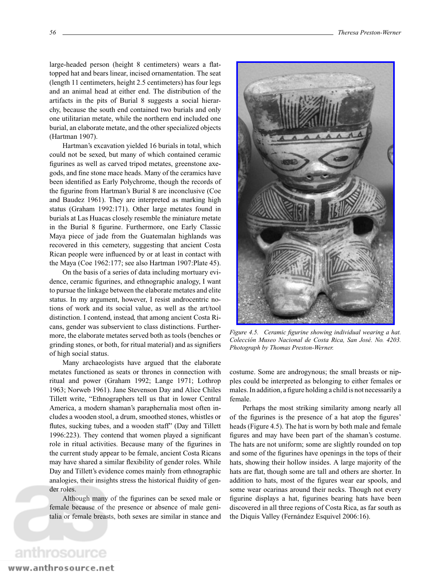large-headed person (height 8 centimeters) wears a flattopped hat and bears linear, incised ornamentation. The seat (length 11 centimeters, height 2.5 centimeters) has four legs and an animal head at either end. The distribution of the artifacts in the pits of Burial 8 suggests a social hierarchy, because the south end contained two burials and only one utilitarian metate, while the northern end included one burial, an elaborate metate, and the other specialized objects (Hartman 1907).

Hartman's excavation yielded 16 burials in total, which could not be sexed, but many of which contained ceramic figurines as well as carved tripod metates, greenstone axegods, and fine stone mace heads. Many of the ceramics have been identified as Early Polychrome, though the records of the figurine from Hartman's Burial 8 are inconclusive (Coe and Baudez 1961). They are interpreted as marking high status (Graham 1992:171). Other large metates found in burials at Las Huacas closely resemble the miniature metate in the Burial 8 figurine. Furthermore, one Early Classic Maya piece of jade from the Guatemalan highlands was recovered in this cemetery, suggesting that ancient Costa Rican people were influenced by or at least in contact with the Maya (Coe 1962:177; see also Hartman 1907:Plate 45).

On the basis of a series of data including mortuary evidence, ceramic figurines, and ethnographic analogy, I want to pursue the linkage between the elaborate metates and elite status. In my argument, however, I resist androcentric notions of work and its social value, as well as the art/tool distinction. I contend, instead, that among ancient Costa Ricans, gender was subservient to class distinctions. Furthermore, the elaborate metates served both as tools (benches or grinding stones, or both, for ritual material) and as signifiers of high social status.

Many archaeologists have argued that the elaborate metates functioned as seats or thrones in connection with ritual and power (Graham 1992; Lange 1971; Lothrop 1963; Norweb 1961). Jane Stevenson Day and Alice Chiles Tillett write, "Ethnographers tell us that in lower Central America, a modern shaman's paraphernalia most often includes a wooden stool, a drum, smoothed stones, whistles or flutes, sucking tubes, and a wooden staff" (Day and Tillett 1996:223). They contend that women played a significant role in ritual activities. Because many of the figurines in the current study appear to be female, ancient Costa Ricans may have shared a similar flexibility of gender roles. While Day and Tillett's evidence comes mainly from ethnographic analogies, their insights stress the historical fluidity of gender roles.

Although many of the figurines can be sexed male or female because of the presence or absence of male genitalia or female breasts, both sexes are similar in stance and



*Figure 4.5. Ceramic figurine showing individual wearing a hat. Colección Museo Nacional de Costa Rica, San José. No. 4203. Photograph by Thomas Preston-Werner.*

costume. Some are androgynous; the small breasts or nipples could be interpreted as belonging to either females or males. In addition, a figure holding a child is not necessarily a female.

Perhaps the most striking similarity among nearly all of the figurines is the presence of a hat atop the figures' heads (Figure 4.5). The hat is worn by both male and female figures and may have been part of the shaman's costume. The hats are not uniform; some are slightly rounded on top and some of the figurines have openings in the tops of their hats, showing their hollow insides. A large majority of the hats are flat, though some are tall and others are shorter. In addition to hats, most of the figures wear ear spools, and some wear ocarinas around their necks. Though not every figurine displays a hat, figurines bearing hats have been discovered in all three regions of Costa Rica, as far south as the Diquis Valley (Fernández Esquivel 2006:16).

anthrosource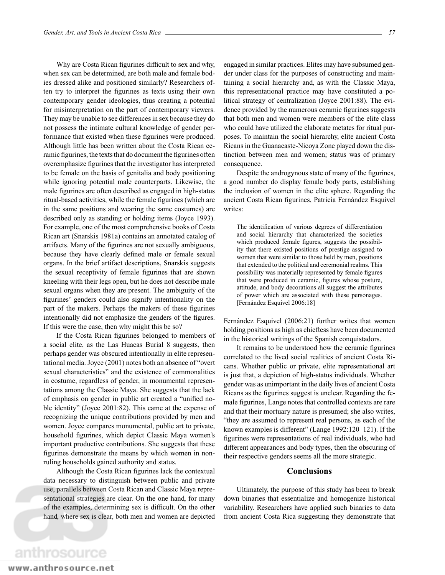Why are Costa Rican figurines difficult to sex and why, when sex can be determined, are both male and female bodies dressed alike and positioned similarly? Researchers often try to interpret the figurines as texts using their own contemporary gender ideologies, thus creating a potential for misinterpretation on the part of contemporary viewers. They may be unable to see differences in sex because they do not possess the intimate cultural knowledge of gender performance that existed when these figurines were produced. Although little has been written about the Costa Rican ceramic figurines, the texts that do document the figurines often overemphasize figurines that the investigator has interpreted to be female on the basis of genitalia and body positioning while ignoring potential male counterparts. Likewise, the male figurines are often described as engaged in high-status ritual-based activities, while the female figurines (which are in the same positions and wearing the same costumes) are described only as standing or holding items (Joyce 1993). For example, one of the most comprehensive books of Costa Rican art (Snarskis 1981a) contains an annotated catalog of artifacts. Many of the figurines are not sexually ambiguous, because they have clearly defined male or female sexual organs. In the brief artifact descriptions, Snarskis suggests the sexual receptivity of female figurines that are shown kneeling with their legs open, but he does not describe male sexual organs when they are present. The ambiguity of the figurines' genders could also signify intentionality on the part of the makers. Perhaps the makers of these figurines intentionally did not emphasize the genders of the figures. If this were the case, then why might this be so?

If the Costa Rican figurines belonged to members of a social elite, as the Las Huacas Burial 8 suggests, then perhaps gender was obscured intentionally in elite representational media. Joyce (2001) notes both an absence of "overt sexual characteristics" and the existence of commonalities in costume, regardless of gender, in monumental representations among the Classic Maya. She suggests that the lack of emphasis on gender in public art created a "unified noble identity" (Joyce 2001:82). This came at the expense of recognizing the unique contributions provided by men and women. Joyce compares monumental, public art to private, household figurines, which depict Classic Maya women's important productive contributions. She suggests that these figurines demonstrate the means by which women in nonruling households gained authority and status.

Although the Costa Rican figurines lack the contextual data necessary to distinguish between public and private use, parallels between Costa Rican and Classic Maya representational strategies are clear. On the one hand, for many of the examples, determining sex is difficult. On the other hand, where sex is clear, both men and women are depicted

engaged in similar practices. Elites may have subsumed gender under class for the purposes of constructing and maintaining a social hierarchy and, as with the Classic Maya, this representational practice may have constituted a political strategy of centralization (Joyce 2001:88). The evidence provided by the numerous ceramic figurines suggests that both men and women were members of the elite class who could have utilized the elaborate metates for ritual purposes. To maintain the social hierarchy, elite ancient Costa Ricans in the Guanacaste-Nicoya Zone played down the distinction between men and women; status was of primary consequence.

Despite the androgynous state of many of the figurines, a good number do display female body parts, establishing the inclusion of women in the elite sphere. Regarding the ancient Costa Rican figurines, Patricia Fernández Esquivel writes:

The identification of various degrees of differentiation and social hierarchy that characterized the societies which produced female figures, suggests the possibility that there existed positions of prestige assigned to women that were similar to those held by men, positions that extended to the political and ceremonial realms. This possibility was materially represented by female figures that were produced in ceramic, figures whose posture, attitude, and body decorations all suggest the attributes of power which are associated with these personages. [Fernández Esquivel 2006:18]

Fernández Esquivel (2006:21) further writes that women holding positions as high as chieftess have been documented in the historical writings of the Spanish conquistadors.

It remains to be understood how the ceramic figurines correlated to the lived social realities of ancient Costa Ricans. Whether public or private, elite representational art is just that, a depiction of high-status individuals. Whether gender was as unimportant in the daily lives of ancient Costa Ricans as the figurines suggest is unclear. Regarding the female figurines, Lange notes that controlled contexts are rare and that their mortuary nature is presumed; she also writes, "they are assumed to represent real persons, as each of the known examples is different" (Lange 1992:120–121). If the figurines were representations of real individuals, who had different appearances and body types, then the obscuring of their respective genders seems all the more strategic.

#### **Conclusions**

Ultimately, the purpose of this study has been to break down binaries that essentialize and homogenize historical variability. Researchers have applied such binaries to data from ancient Costa Rica suggesting they demonstrate that

www.anthrosource.net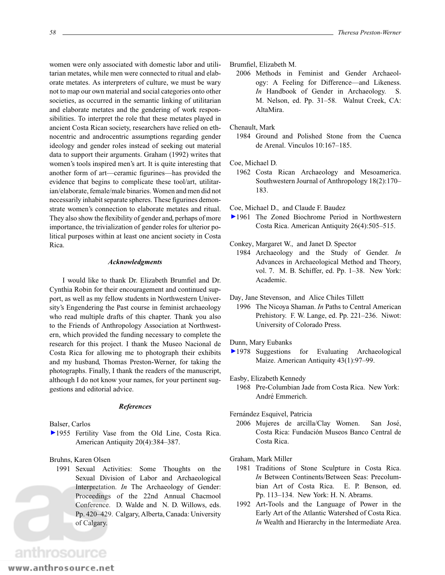women were only associated with domestic labor and utilitarian metates, while men were connected to ritual and elaborate metates. As interpreters of culture, we must be wary not to map our own material and social categories onto other societies, as occurred in the semantic linking of utilitarian and elaborate metates and the gendering of work responsibilities. To interpret the role that these metates played in ancient Costa Rican society, researchers have relied on ethnocentric and androcentric assumptions regarding gender ideology and gender roles instead of seeking out material data to support their arguments. Graham (1992) writes that women's tools inspired men's art. It is quite interesting that another form of art—ceramic figurines—has provided the evidence that begins to complicate these tool/art, utilitarian/elaborate, female/male binaries. Women and men did not necessarily inhabit separate spheres. These figurines demonstrate women's connection to elaborate metates and ritual. They also show the flexibility of gender and, perhaps of more importance, the trivialization of gender roles for ulterior political purposes within at least one ancient society in Costa Rica.

### *Acknowledgments*

I would like to thank Dr. Elizabeth Brumfiel and Dr. Cynthia Robin for their encouragement and continued support, as well as my fellow students in Northwestern University's Engendering the Past course in feminist archaeology who read multiple drafts of this chapter. Thank you also to the Friends of Anthropology Association at Northwestern, which provided the funding necessary to complete the research for this project. I thank the Museo Nacional de Costa Rica for allowing me to photograph their exhibits and my husband, Thomas Preston-Werner, for taking the photographs. Finally, I thank the readers of the manuscript, although I do not know your names, for your pertinent suggestions and editorial advice.

#### *References*

Balser, Carlos

1955 Fertility Vase from the Old Line, Costa Rica. American Antiquity 20(4):384–387.

#### Bruhns, Karen Olsen

1991 Sexual Activities: Some Thoughts on the Sexual Division of Labor and Archaeological Interpretation. *In* The Archaeology of Gender: Proceedings of the 22nd Annual Chacmool Conference. D. Walde and N. D. Willows, eds. Pp. 420–429. Calgary, Alberta, Canada: University of Calgary.

Brumfiel, Elizabeth M.

2006 Methods in Feminist and Gender Archaeology: A Feeling for Difference—and Likeness. *In* Handbook of Gender in Archaeology. S. M. Nelson, ed. Pp. 31–58. Walnut Creek, CA: AltaMira.

Chenault, Mark

1984 Ground and Polished Stone from the Cuenca de Arenal. Vinculos 10:167–185.

Coe, Michael D.

1962 Costa Rican Archaeology and Mesoamerica. Southwestern Journal of Anthropology 18(2):170– 183.

Coe, Michael D., and Claude F. Baudez

1961 The Zoned Biochrome Period in Northwestern Costa Rica. American Antiquity 26(4):505–515.

Conkey, Margaret W., and Janet D. Spector

1984 Archaeology and the Study of Gender. *In* Advances in Archaeological Method and Theory, vol. 7. M. B. Schiffer, ed. Pp. 1–38. New York: Academic.

Day, Jane Stevenson, and Alice Chiles Tillett

1996 The Nicoya Shaman. *In* Paths to Central American Prehistory. F. W. Lange, ed. Pp. 221–236. Niwot: University of Colorado Press.

Dunn, Mary Eubanks

1978 Suggestions for Evaluating Archaeological Maize. American Antiquity 43(1):97–99.

Easby, Elizabeth Kennedy

1968 Pre-Columbian Jade from Costa Rica. New York: André Emmerich.

Fernández Esquivel, Patricia

2006 Mujeres de arcilla/Clay Women. San Jose,´ Costa Rica: Fundacion Museos Banco Central de ´ Costa Rica.

Graham, Mark Miller

- 1981 Traditions of Stone Sculpture in Costa Rica. *In* Between Continents/Between Seas: Precolumbian Art of Costa Rica. E. P. Benson, ed. Pp. 113–134. New York: H. N. Abrams.
- 1992 Art-Tools and the Language of Power in the Early Art of the Atlantic Watershed of Costa Rica. *In* Wealth and Hierarchy in the Intermediate Area.